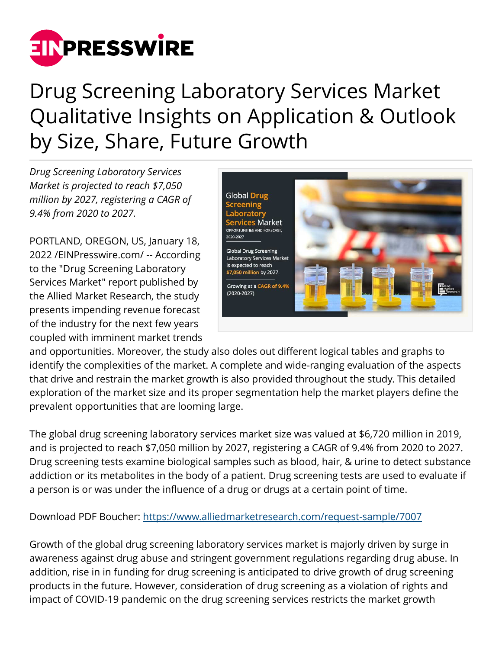

## Drug Screening Laboratory Services Market Qualitative Insights on Application & Outlook by Size, Share, Future Growth

*Drug Screening Laboratory Services Market is projected to reach \$7,050 million by 2027, registering a CAGR of 9.4% from 2020 to 2027.*

PORTLAND, OREGON, US, January 18, 2022 /[EINPresswire.com](http://www.einpresswire.com)/ -- According to the "Drug Screening Laboratory Services Market" report published by the Allied Market Research, the study presents impending revenue forecast of the industry for the next few years coupled with imminent market trends



and opportunities. Moreover, the study also doles out different logical tables and graphs to identify the complexities of the market. A complete and wide-ranging evaluation of the aspects that drive and restrain the market growth is also provided throughout the study. This detailed exploration of the market size and its proper segmentation help the market players define the prevalent opportunities that are looming large.

The global drug screening laboratory services market size was valued at \$6,720 million in 2019, and is projected to reach \$7,050 million by 2027, registering a CAGR of 9.4% from 2020 to 2027. Drug screening tests examine biological samples such as blood, hair, & urine to detect substance addiction or its metabolites in the body of a patient. Drug screening tests are used to evaluate if a person is or was under the influence of a drug or drugs at a certain point of time.

Download PDF Boucher:<https://www.alliedmarketresearch.com/request-sample/7007>

Growth of the global drug screening laboratory services market is majorly driven by surge in awareness against drug abuse and stringent government regulations regarding drug abuse. In addition, rise in in funding for drug screening is anticipated to drive growth of drug screening products in the future. However, consideration of drug screening as a violation of rights and impact of COVID-19 pandemic on the drug screening services restricts the market growth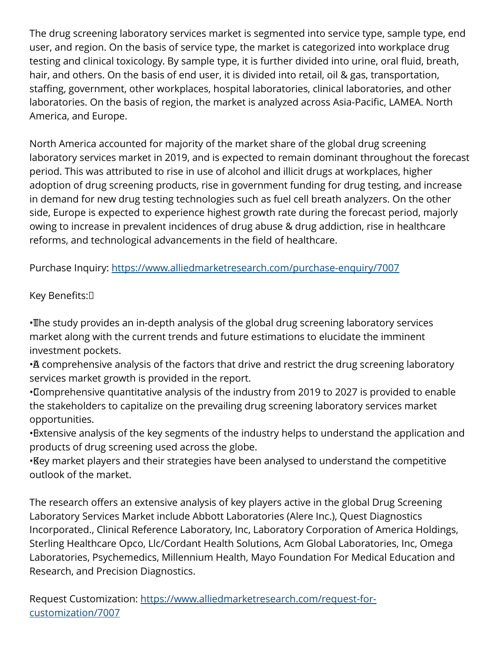The drug screening laboratory services market is segmented into service type, sample type, end user, and region. On the basis of service type, the market is categorized into workplace drug testing and clinical toxicology. By sample type, it is further divided into urine, oral fluid, breath, hair, and others. On the basis of end user, it is divided into retail, oil & gas, transportation, staffing, government, other workplaces, hospital laboratories, clinical laboratories, and other laboratories. On the basis of region, the market is analyzed across Asia-Pacific, LAMEA. North America, and Europe.

North America accounted for majority of the market share of the global drug screening laboratory services market in 2019, and is expected to remain dominant throughout the forecast period. This was attributed to rise in use of alcohol and illicit drugs at workplaces, higher adoption of drug screening products, rise in government funding for drug testing, and increase in demand for new drug testing technologies such as fuel cell breath analyzers. On the other side, Europe is expected to experience highest growth rate during the forecast period, majorly owing to increase in prevalent incidences of drug abuse & drug addiction, rise in healthcare reforms, and technological advancements in the field of healthcare.

Purchase Inquiry:<https://www.alliedmarketresearch.com/purchase-enquiry/7007>

Key Benefits: 

• The study provides an in-depth analysis of the global drug screening laboratory services market along with the current trends and future estimations to elucidate the imminent investment pockets.

• A comprehensive analysis of the factors that drive and restrict the drug screening laboratory services market growth is provided in the report.

• Comprehensive quantitative analysis of the industry from 2019 to 2027 is provided to enable the stakeholders to capitalize on the prevailing drug screening laboratory services market opportunities.

• Extensive analysis of the key segments of the industry helps to understand the application and products of drug screening used across the globe.

• Key market players and their strategies have been analysed to understand the competitive outlook of the market.

The research offers an extensive analysis of key players active in the global Drug Screening Laboratory Services Market include Abbott Laboratories (Alere Inc.), Quest Diagnostics Incorporated., Clinical Reference Laboratory, Inc, Laboratory Corporation of America Holdings, Sterling Healthcare Opco, Llc/Cordant Health Solutions, Acm Global Laboratories, Inc, Omega Laboratories, Psychemedics, Millennium Health, Mayo Foundation For Medical Education and Research, and Precision Diagnostics.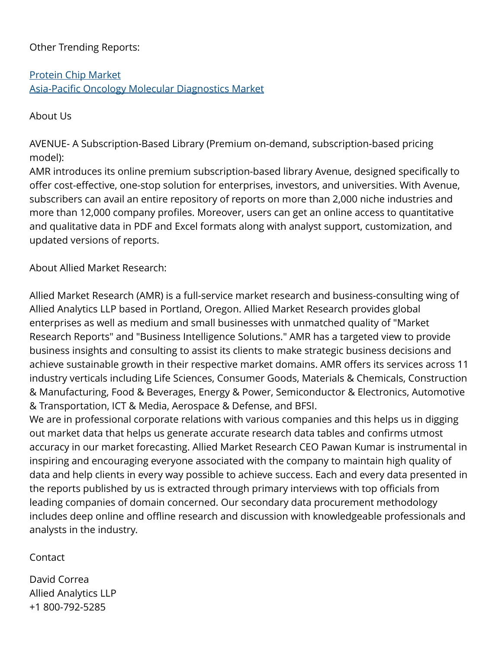## Other Trending Reports:

[Protein Chip Market](https://www.alliedmarketresearch.com/protein-chip-market) [Asia-Pacific Oncology Molecular Diagnostics Market](https://www.alliedmarketresearch.com/asia-pacific-oncology-molecular-diagnostics-market-A06287)

About Us

AVENUE- A Subscription-Based Library (Premium on-demand, subscription-based pricing model):

AMR introduces its online premium subscription-based library Avenue, designed specifically to offer cost-effective, one-stop solution for enterprises, investors, and universities. With Avenue, subscribers can avail an entire repository of reports on more than 2,000 niche industries and more than 12,000 company profiles. Moreover, users can get an online access to quantitative and qualitative data in PDF and Excel formats along with analyst support, customization, and updated versions of reports.

About Allied Market Research:

Allied Market Research (AMR) is a full-service market research and business-consulting wing of Allied Analytics LLP based in Portland, Oregon. Allied Market Research provides global enterprises as well as medium and small businesses with unmatched quality of "Market Research Reports" and "Business Intelligence Solutions." AMR has a targeted view to provide business insights and consulting to assist its clients to make strategic business decisions and achieve sustainable growth in their respective market domains. AMR offers its services across 11 industry verticals including Life Sciences, Consumer Goods, Materials & Chemicals, Construction & Manufacturing, Food & Beverages, Energy & Power, Semiconductor & Electronics, Automotive & Transportation, ICT & Media, Aerospace & Defense, and BFSI.

We are in professional corporate relations with various companies and this helps us in digging out market data that helps us generate accurate research data tables and confirms utmost accuracy in our market forecasting. Allied Market Research CEO Pawan Kumar is instrumental in inspiring and encouraging everyone associated with the company to maintain high quality of data and help clients in every way possible to achieve success. Each and every data presented in the reports published by us is extracted through primary interviews with top officials from leading companies of domain concerned. Our secondary data procurement methodology includes deep online and offline research and discussion with knowledgeable professionals and analysts in the industry.

**Contact** 

David Correa Allied Analytics LLP +1 800-792-5285